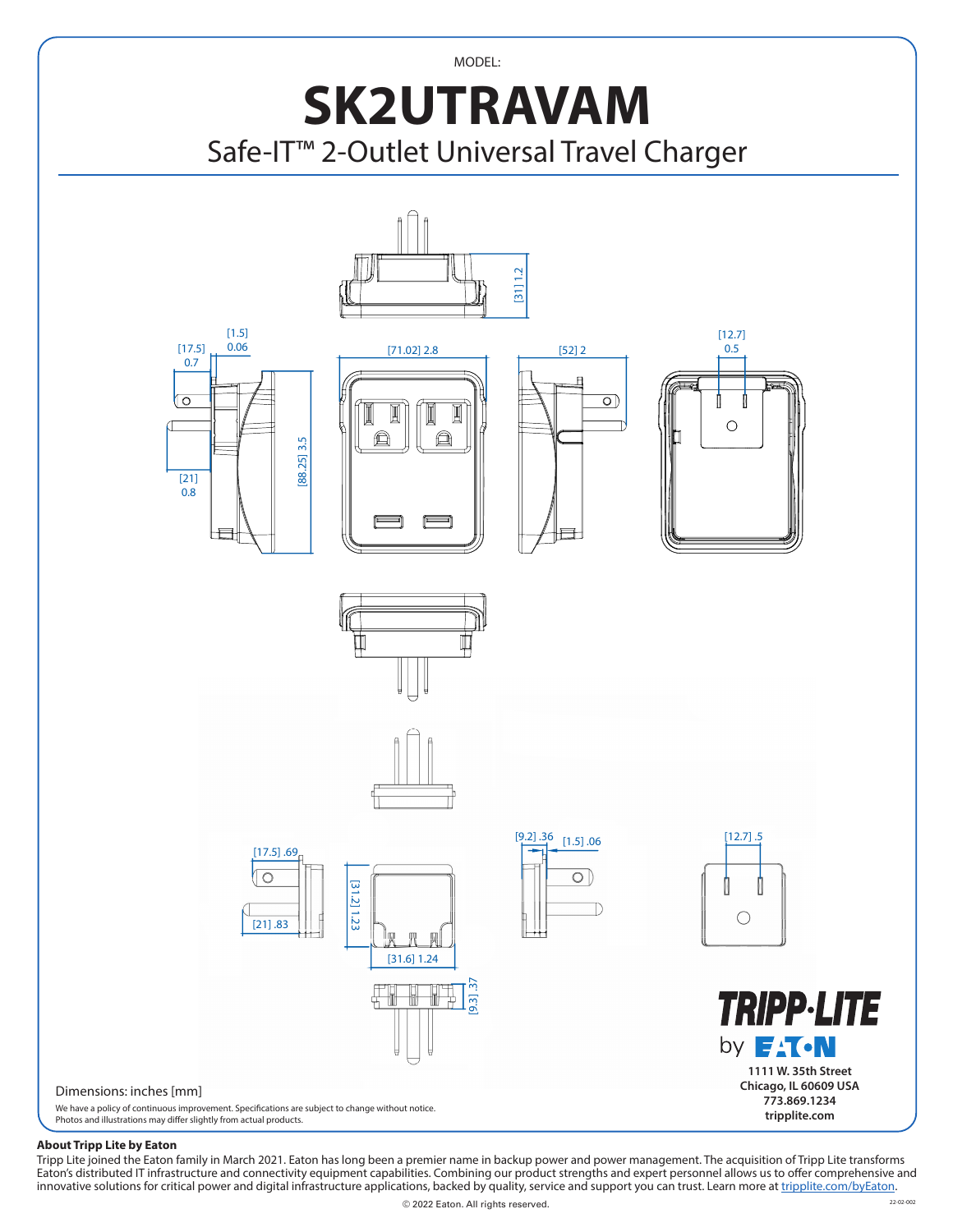



## **About Tripp Lite by Eaton**

Tripp Lite joined the Eaton family in March 2021. Eaton has long been a premier name in backup power and power management. The acquisition of Tripp Lite transforms Eaton's distributed IT infrastructure and connectivity equipment capabilities. Combining our product strengths and expert personnel allows us to offer comprehensive and innovative solutions for critical power and digital infrastructure applications, backed by quality, service and support you can trust. Learn more at [tripplite.com/byEaton](https://brd.tripplite.com/tripp-lite-by-eaton).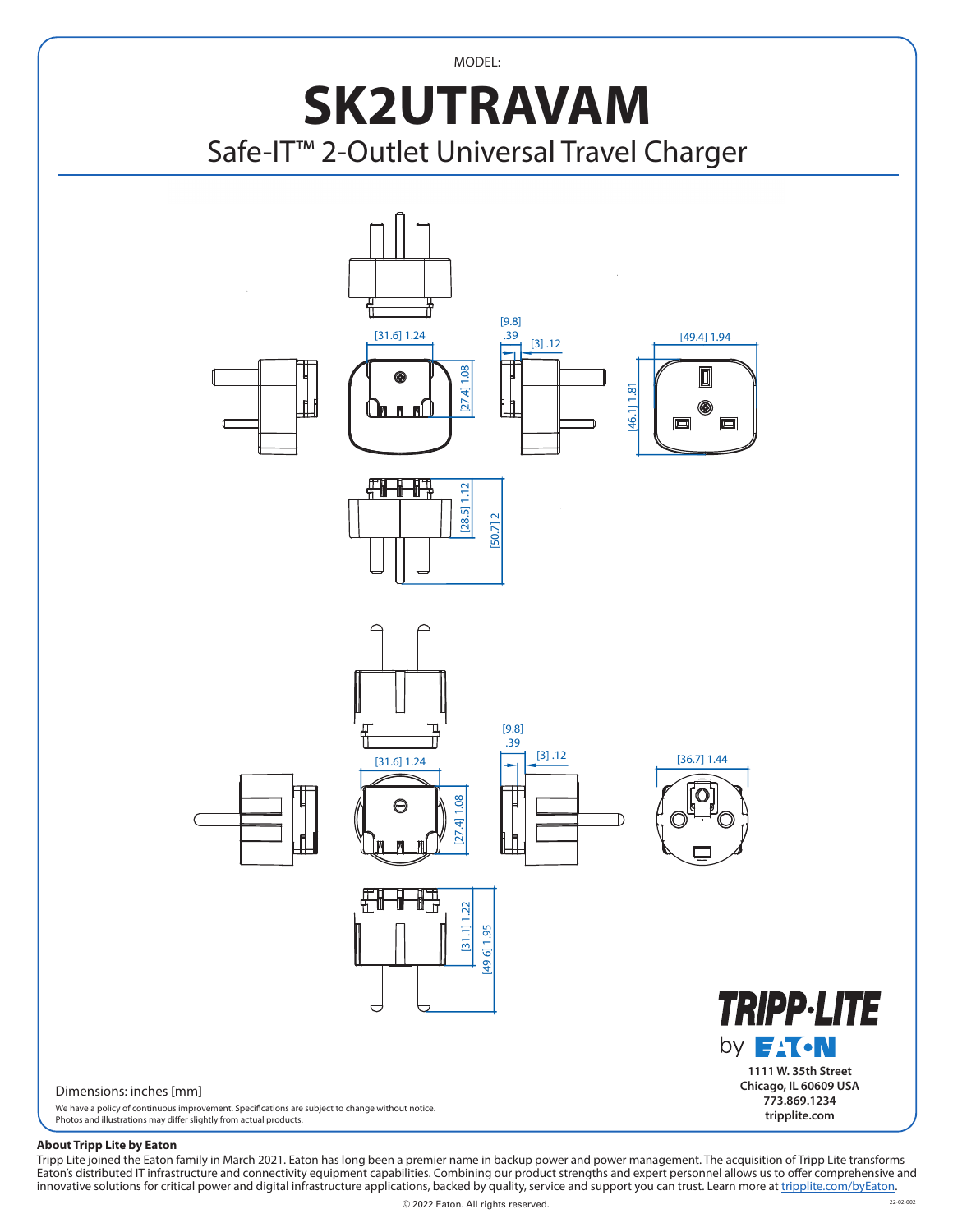MODEL:

## **SK2UTRAVAM** Safe-IT™ 2-Outlet Universal Travel Charger



## **About Tripp Lite by Eaton**

Tripp Lite joined the Eaton family in March 2021. Eaton has long been a premier name in backup power and power management. The acquisition of Tripp Lite transforms Eaton's distributed IT infrastructure and connectivity equipment capabilities. Combining our product strengths and expert personnel allows us to offer comprehensive and innovative solutions for critical power and digital infrastructure applications, backed by quality, service and support you can trust. Learn more at <u>tripplite.com/byEaton</u>.<br>...